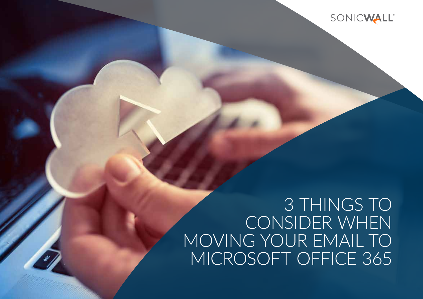

# 3 THINGS TO CONSIDER WHEN MOVING YOUR EMAIL TO MICROSOFT OFFICE 365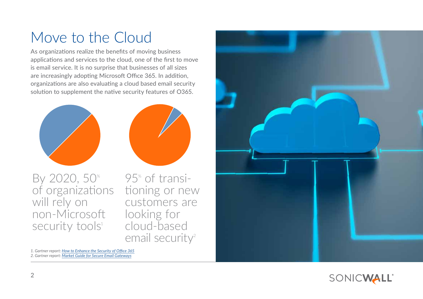## Move to the Cloud

As organizations realize the benefits of moving business applications and services to the cloud, one of the first to move is email service. It is no surprise that businesses of all sizes are increasingly adopting Microsoft Office 365. In addition, organizations are also evaluating a cloud based email security solution to supplement the native security features of O365.





By 2020, 50% of organizations will rely on non-Microsoft security tools<sup>1</sup>

95% of transitioning or new customers are looking for cloud-based email security<sup>2</sup>

*1. Gartner report: [How to Enhance the Security of Office 365](https://www.gartner.com/doc/3830147/enhance-security-office-) 2. Gartner report: [Market Guide for Secure Email Gateways](https://www.gartner.com/doc/3698932/market-guide-secure-email-gateways)*



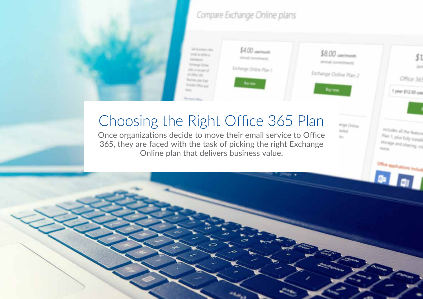

**Pipe Dolou** 

**College** 

in.

Includes all the feature

Plan 1, plus hally install

Planage and Aharing, My

Police

### Choosing the Right Office 365 Plan

Once organizations decide to move their email service to Office 365, they are faced with the task of picking the right Exchange Online plan that delivers business value.

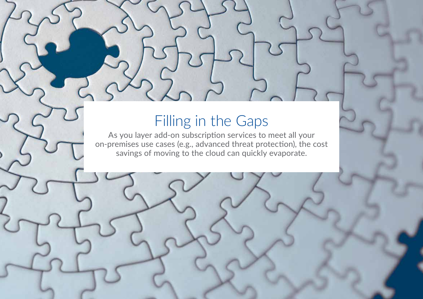### Filling in the Gaps

As you layer add-on subscription services to meet all your on-premises use cases (e.g., advanced threat protection), the cost savings of moving to the cloud can quickly evaporate.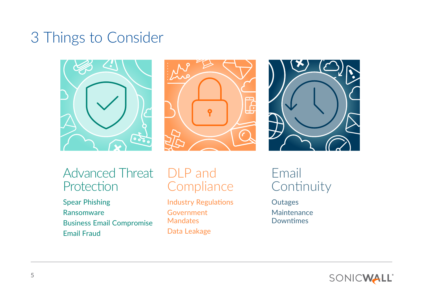#### 3 Things to Consider







#### Advanced Threat Protection

Spear Phishing Ransomware Business Email Compromise Email Fraud

#### DLP and **Compliance**

Industry Regulations Government Mandates Data Leakage

#### Email **Continuity**

**Outages** Maintenance Downtimes

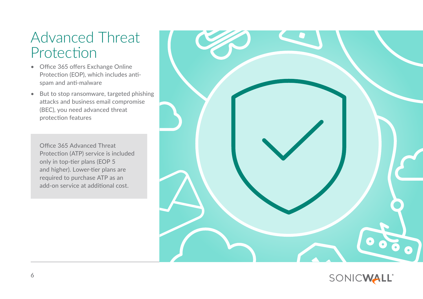#### Advanced Threat Protection

- Office 365 offers Exchange Online Protection (EOP), which includes antispam and anti-malware
- But to stop ransomware, targeted phishing attacks and business email compromise (BEC), you need advanced threat protection features

Office 365 Advanced Threat Protection (ATP) service is included only in top-tier plans (EOP 5 and higher). Lower-tier plans are required to purchase ATP as an add-on service at additional cost.



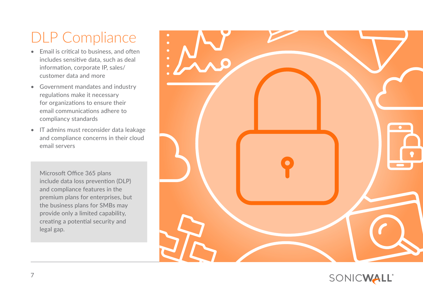## DLP Compliance

- Email is critical to business, and often includes sensitive data, such as deal information, corporate IP, sales/ customer data and more
- Government mandates and industry regulations make it necessary for organizations to ensure their email communications adhere to compliancy standards
- IT admins must reconsider data leakage and compliance concerns in their cloud email servers

Microsoft Office 365 plans include data loss prevention (DLP) and compliance features in the premium plans for enterprises, but the business plans for SMBs may provide only a limited capability, creating a potential security and legal gap.



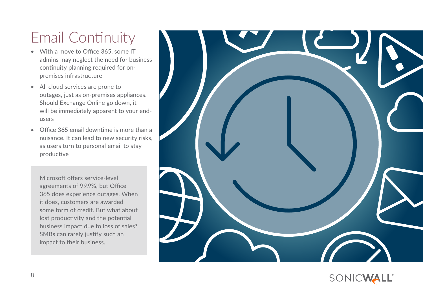# Email Continuity

- With a move to Office 365, some IT admins may neglect the need for business continuity planning required for onpremises infrastructure
- All cloud services are prone to outages, just as on-premises appliances. Should Exchange Online go down, it will be immediately apparent to your endusers
- Office 365 email downtime is more than a nuisance. It can lead to new security risks, as users turn to personal email to stay productive

Microsoft offers service-level agreements of 99.9%, but Office 365 does experience outages. When it does, customers are awarded some form of credit. But what about lost productivity and the potential business impact due to loss of sales? SMBs can rarely justify such an impact to their business.



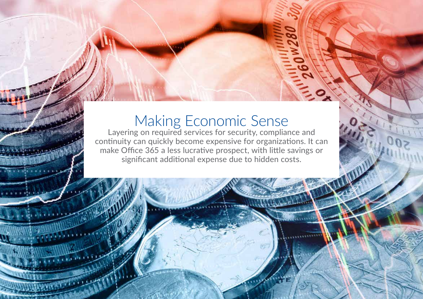#### Making Economic Sense

Layering on required services for security, compliance and continuity can quickly become expensive for organizations. It can make Office 365 a less lucrative prospect, with little savings or significant additional expense due to hidden costs.

 $\mathbf{\bar{p}}$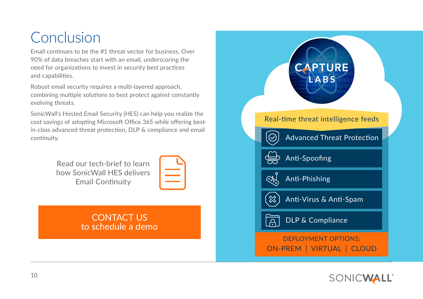## Conclusion

Email continues to be the #1 threat vector for business. Over 90% of data breaches start with an email, underscoring the need for organizations to invest in security best practices and capabilities.

Robust email security requires a multi-layered approach, combining multiple solutions to best protect against constantly evolving threats.

SonicWall's Hosted Email Security (HES) can help you realize the cost savings of adopting Microsoft Office 365 while offering bestin-class advanced threat protection, DLP & compliance and email continuity.

> Read our tech-brief to learn [how SonicWall HES delivers](https://www.sonicwall.com/en-us/resources/solution-brief/tech-brief-ensure-email-continuity-with-sonicwall)  Email Continuity



#### CONTACT US [to schedule a demo](https://www.sonicwall.com/en-us/customers/contact-sales)